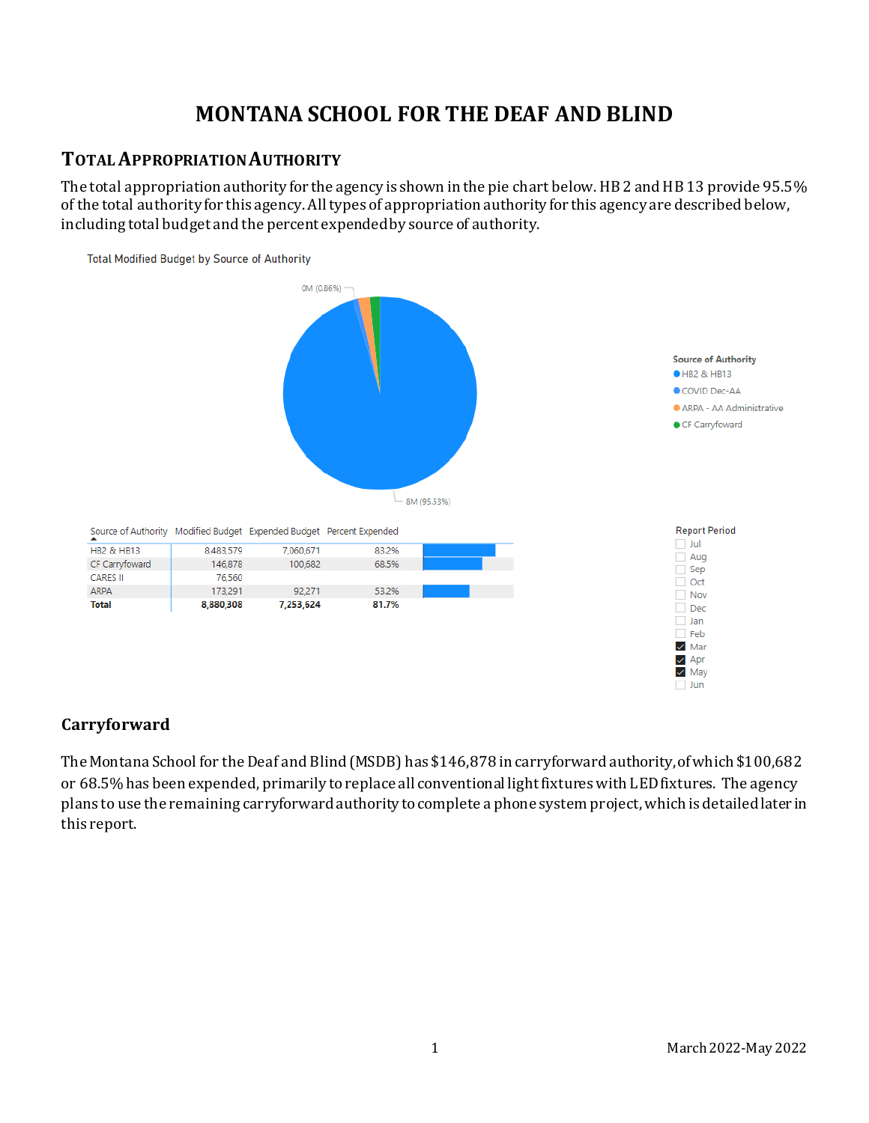# **MONTANA SCHOOL FOR THE DEAF AND BLIND**

#### **TOTAL APPROPRIATION AUTHORITY**

The total appropriation authority for the agency is shown in the pie chart below. HB 2 and HB 13 provide 95.5% of the total authority for this agency. All types of appropriation authority for this agency are described below, including total budget and the percent expended by source of authority.



## **Carryforward**

The Montana School for the Deaf and Blind (MSDB) has \$146,878 in carryforward authority,of which \$100,682 or 68.5% has been expended, primarily to replace all conventional light fixtures with LED fixtures. The agency plans to use the remaining carryforward authority to complete a phone system project,which is detailed later in this report.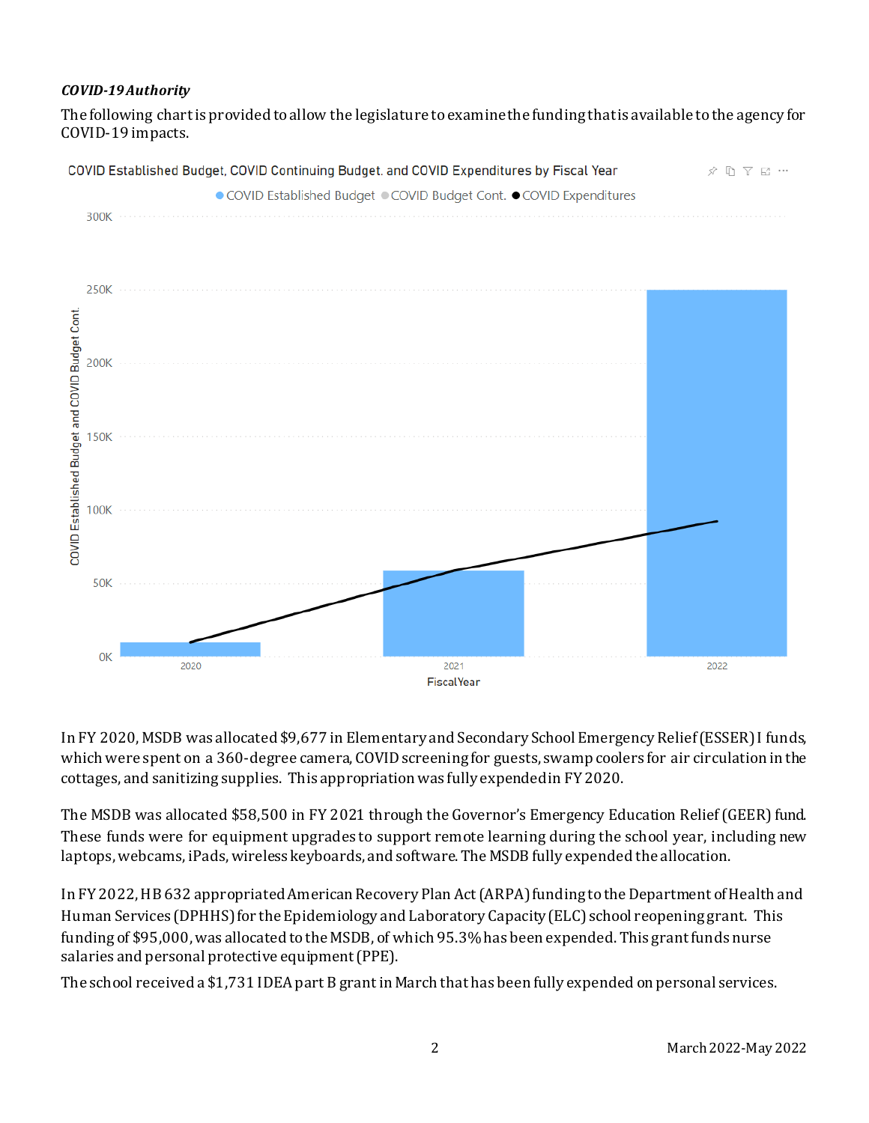#### *COVID-19 Authority*

The following chart is provided to allow the legislature to examine the funding that is available to the agency for COVID-19 impacts.



In FY 2020, MSDB was allocated \$9,677 in Elementary and Secondary School Emergency Relief (ESSER)I funds, which were spent on a 360-degree camera, COVID screening for guests, swamp coolers for air circulation in the cottages, and sanitizing supplies. This appropriation was fully expended in FY 2020.

The MSDB was allocated \$58,500 in FY 2021 through the Governor's Emergency Education Relief (GEER) fund. These funds were for equipment upgrades to support remote learning during the school year, including new laptops, webcams, iPads, wireless keyboards, and software. The MSDB fully expended the allocation.

In FY 2022,HB 632 appropriated American Recovery Plan Act (ARPA) funding to the Department of Health and Human Services (DPHHS) for the Epidemiology and Laboratory Capacity (ELC) school reopening grant. This funding of \$95,000, was allocated to the MSDB, of which 95.3% has been expended. This grant funds nurse salaries and personal protective equipment (PPE).

The school received a \$1,731 IDEA part B grant in March that has been fully expended on personal services.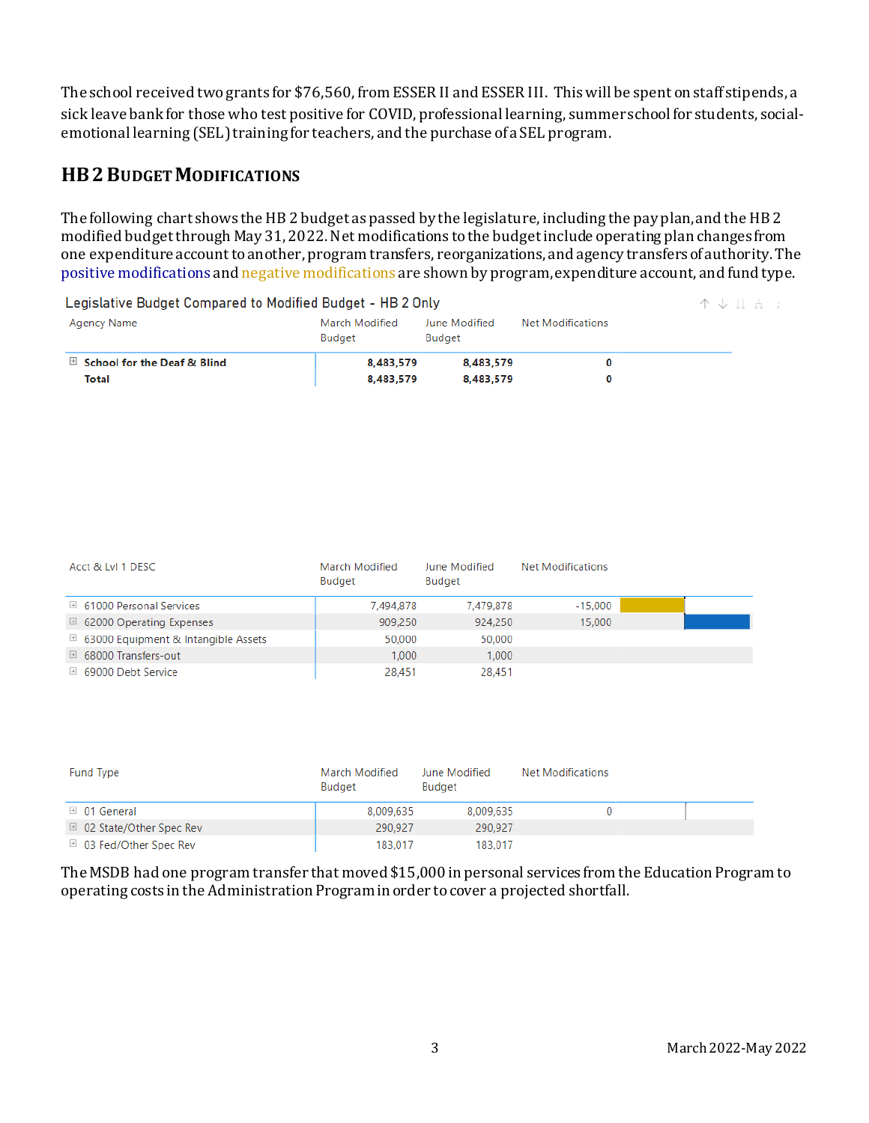The school received two grants for \$76,560, from ESSER II and ESSER III. This will be spent on staff stipends, a sick leave bank for those who test positive for COVID, professional learning, summer school for students, socialemotional learning (SEL) training for teachers, and the purchase of a SEL program.

# **HB2 BUDGET MODIFICATIONS**

The following chart shows the HB 2 budget as passed by the legislature, including the pay plan, and the HB 2 modified budgetthrough May 31, 2022. Net modifications to the budget include operating plan changes from one expenditure account to another, program transfers, reorganizations, and agency transfers of authority. The positive modifications and negative modifications are shown by program, expenditure account, and fund type.

| Legislative Budget Compared to Modified Budget - HB 2 Only |                          |                         |                   |  | 个女儿出去 |  |
|------------------------------------------------------------|--------------------------|-------------------------|-------------------|--|-------|--|
| Agency Name                                                | March Modified<br>Budget | June Modified<br>Budget | Net Modifications |  |       |  |
| $\boxplus$ School for the Deaf & Blind                     | 8,483,579                | 8,483,579               |                   |  |       |  |
| Total                                                      | 8,483,579                | 8,483,579               | 0                 |  |       |  |

| Acct & LvI 1 DESC                              | March Modified<br><b>Budget</b> | June Modified<br><b>Budget</b> | <b>Net Modifications</b> |  |
|------------------------------------------------|---------------------------------|--------------------------------|--------------------------|--|
| $\boxplus$ 61000 Personal Services             | 7.494.878                       | 7.479.878                      | $-15,000$                |  |
| $\boxplus$ 62000 Operating Expenses            | 909,250                         | 924.250                        | 15,000                   |  |
| $\boxplus$ 63000 Equipment & Intangible Assets | 50,000                          | 50,000                         |                          |  |
| □ 68000 Transfers-out                          | 1,000                           | 1,000                          |                          |  |
| □ 69000 Debt Service                           | 28,451                          | 28,451                         |                          |  |

| Fund Type                        | March Modified<br><b>Budget</b> | June Modified<br><b>Budget</b> | Net Modifications |  |
|----------------------------------|---------------------------------|--------------------------------|-------------------|--|
| $\boxplus$ 01 General            | 8,009,635                       | 8,009,635                      |                   |  |
| □ 02 State/Other Spec Rev        | 290.927                         | 290,927                        |                   |  |
| $\boxplus$ 03 Fed/Other Spec Rev | 183,017                         | 183.017                        |                   |  |

The MSDB had one program transfer that moved \$15,000 in personal services from the Education Program to operating costs in the Administration Program in order to cover a projected shortfall.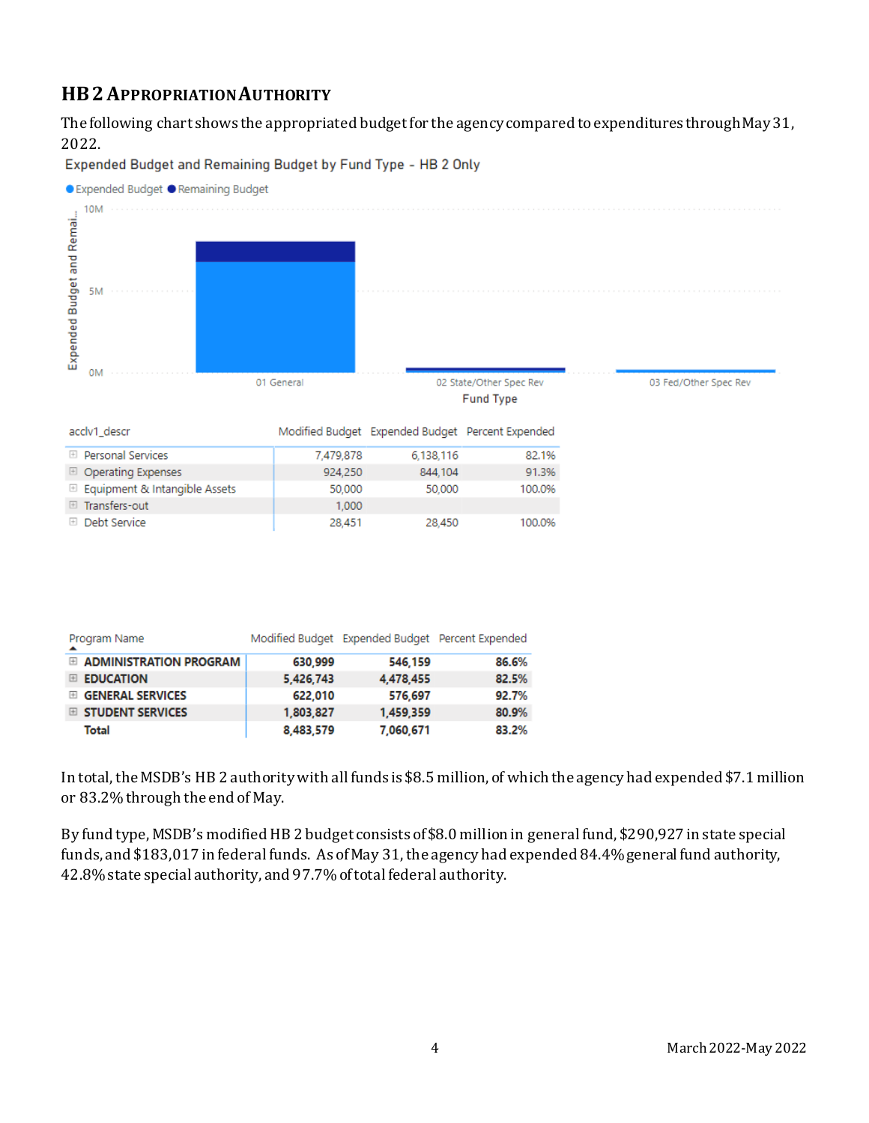# **HB2APPROPRIATION AUTHORITY**

The following chart shows the appropriated budget for the agency compared to expenditures through May 31,

2022.<br>Expended Budget and Remaining Budget by Fund Type - HB 2 Only



| <b>EDUCATION</b>           | 5,426,743 | 4,478,455 | 82.5% |
|----------------------------|-----------|-----------|-------|
| <b>EL GENERAL SERVICES</b> | 622.010   | 576.697   | 92.7% |
| <b>E STUDENT SERVICES</b>  | 1,803,827 | 1,459,359 | 80.9% |
| Total                      | 8,483,579 | 7,060,671 | 83.2% |
|                            |           |           |       |

In total, the MSDB's HB 2 authority with all funds is \$8.5 million, of which the agency had expended \$7.1 million or 83.2% through the end of May.

By fund type, MSDB's modified HB 2 budget consists of \$8.0 million in general fund, \$290,927 in state special funds, and \$183,017 in federal funds. As of May 31, the agency had expended 84.4% general fund authority, 42.8% state special authority, and 97.7% of total federal authority.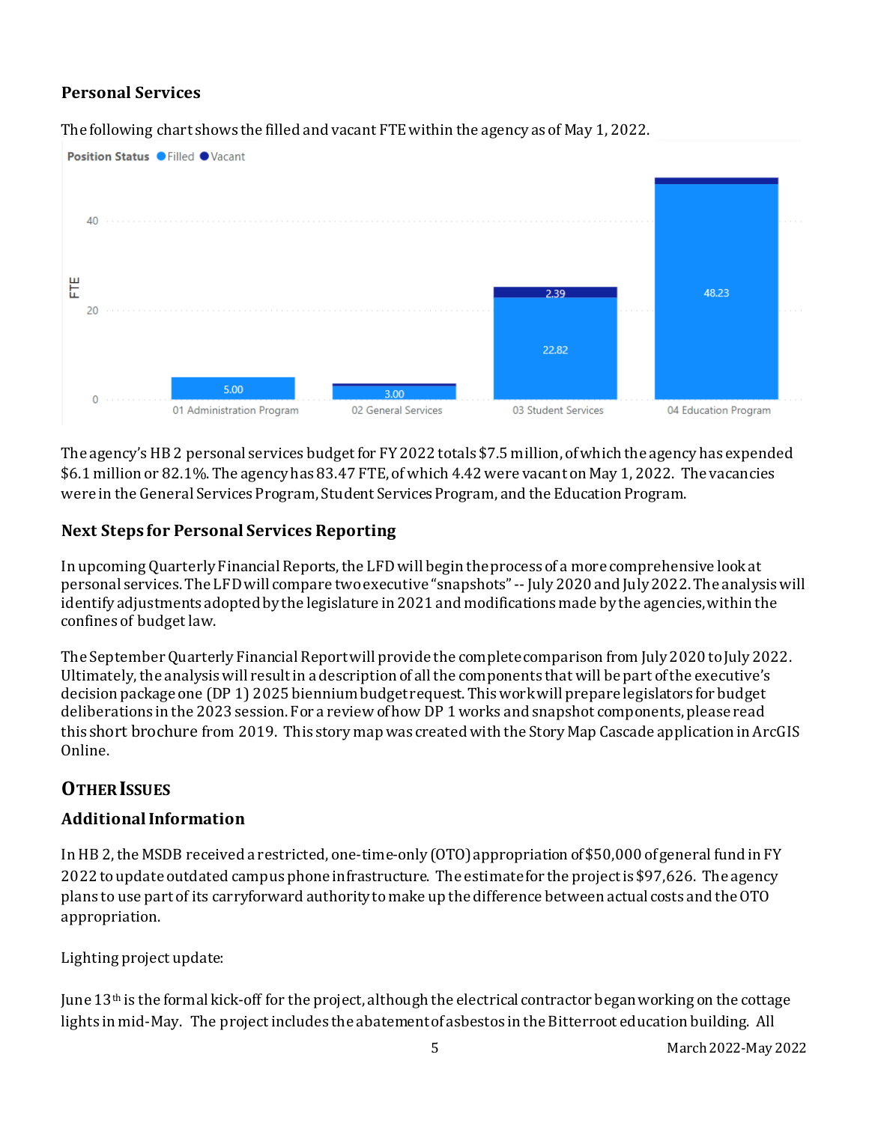## **Personal Services**

The following chart shows the filled and vacant FTE within the agency as of May 1, 2022.



The agency's HB 2 personal services budget for FY 2022 totals \$7.5 million, of which the agency has expended \$6.1 million or 82.1%. The agency has 83.47 FTE, of which 4.42 were vacant on May 1, 2022. The vacancies were in the General Services Program, Student Services Program, and the Education Program.

## **Next Steps for Personal Services Reporting**

In upcoming Quarterly Financial Reports, the LFD will begin the process of a more comprehensive look at personal services. The LFD will compare two executive "snapshots" --July 2020 and July 2022. The analysis will identify adjustments adopted by the legislature in 2021 and modifications made by the agencies, within the confines of budget law.

The September Quarterly Financial Report will provide the complete comparison from July 2020 to July 2022. Ultimately, the analysis will result in a description of all the components that will be part of the executive's decision package one (DP 1) 2025 biennium budget request. This work will prepare legislators for budget deliberations in the 2023 session. For a review of how DP 1 works and snapshot components, please read this [short brochure](https://montana.maps.arcgis.com/apps/Cascade/index.html?appid=23095fcf15754f4fb38b63c58a884b97) from 2019. This story map was created with the Story Map Cascade application in ArcGIS Online.

# **OTHER ISSUES**

## **Additional Information**

In HB 2, the MSDB received a restricted, one-time-only (OTO) appropriation of \$50,000 of general fund in FY 2022 to update outdated campus phone infrastructure. The estimate for the project is \$97,626. The agency plans to use part of its carryforward authority to make up the difference between actual costs and the OTO appropriation.

#### Lighting project update:

June  $13<sup>th</sup>$  is the formal kick-off for the project, although the electrical contractor began working on the cottage lights in mid-May. The project includes the abatement of asbestos in the Bitterroot education building. All